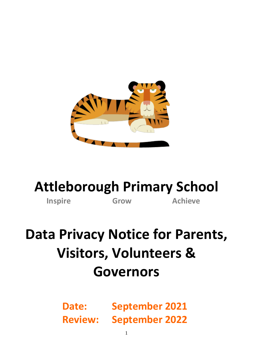

## **Attleborough Primary School**

**Inspire Grow Achieve** 

# **Data Privacy Notice for Parents, Visitors, Volunteers & Governors**

**Date: September 2021 Review: September 2022**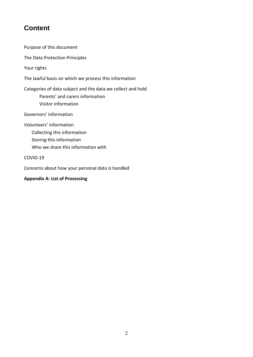### **Content**

[Purpose of this document](#page-2-0)

[The Data Protection Principles](#page-2-1)

[Your rights](#page-2-2)

[The lawful basis on which we process this information](#page-3-0)

[Categories of data subject and the data we collect and hold](#page-3-1)

[Parents' and carers information](#page-3-2) [Visitor information](#page-4-0)

Govern[ors' information](#page-4-1)

[Volunteers' information](#page-5-0)

[Collecting this information](#page-5-1)

[Storing this information](#page-5-2)

[Who we share this information](#page-5-3) with

[COVID-19](#page-6-0)

[Concerns about how your personal data is handled](#page-7-0)

#### **[Appendix A: List of Processing](#page-7-1)**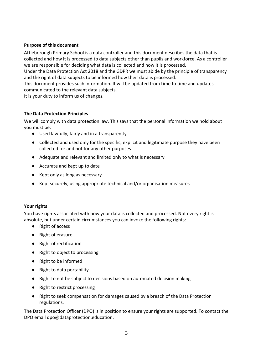#### <span id="page-2-0"></span>**Purpose of this document**

Attleborough Primary School is a data controller and this document describes the data that is collected and how it is processed to data subjects other than pupils and workforce. As a controller we are responsible for deciding what data is collected and how it is processed.

Under the Data Protection Act 2018 and the GDPR we must abide by the principle of transparency and the right of data subjects to be informed how their data is processed.

This document provides such information. It will be updated from time to time and updates communicated to the relevant data subjects.

It is your duty to inform us of changes.

#### <span id="page-2-1"></span>**The Data Protection Principles**

We will comply with data protection law. This says that the personal information we hold about you must be:

- Used lawfully, fairly and in a transparently
- Collected and used only for the specific, explicit and legitimate purpose they have been collected for and not for any other purposes
- Adequate and relevant and limited only to what is necessary
- Accurate and kept up to date
- Kept only as long as necessary
- Kept securely, using appropriate technical and/or organisation measures

#### <span id="page-2-2"></span>**Your rights**

You have rights associated with how your data is collected and processed. Not every right is absolute, but under certain circumstances you can invoke the following rights:

- Right of access
- Right of erasure
- Right of rectification
- Right to object to processing
- Right to be informed
- Right to data portability
- Right to not be subject to decisions based on automated decision making
- Right to restrict processing
- Right to seek compensation for damages caused by a breach of the Data Protection regulations.

The Data Protection Officer (DPO) is in position to ensure your rights are supported. To contact the DPO email [dpo@dataprotection.education.](mailto:dpo@dataprotection.education)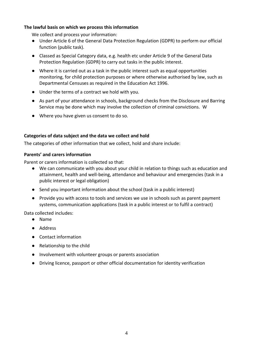#### <span id="page-3-0"></span>**The lawful basis on which we process this information**

We collect and process your information:

- Under Article 6 of the General Data Protection Regulation (GDPR) to perform our official function (public task).
- Classed as Special Category data, e.g. health etc under Article 9 of the General Data Protection Regulation (GDPR) to carry out tasks in the public interest.
- Where it is carried out as a task in the public interest such as equal opportunities monitoring, for child protection purposes or where otherwise authorised by law, such as Departmental Censuses as required in the Education Act 1996.
- Under the terms of a contract we hold with you.
- As part of your attendance in schools, background checks from the Disclosure and Barring Service may be done which may involve the collection of criminal convictions. W
- Where you have given us consent to do so.

#### <span id="page-3-1"></span>**Categories of data subject and the data we collect and hold**

The categories of other information that we collect, hold and share include:

#### <span id="page-3-2"></span>**Parents' and carers information**

Parent or carers information is collected so that:

- We can communicate with you about your child in relation to things such as education and attainment, health and well-being, attendance and behaviour and emergencies (task in a public interest or legal obligation)
- Send you important information about the school (task in a public interest)
- Provide you with access to tools and services we use in schools such as parent payment systems, communication applications (task in a public interest or to fulfil a contract)

Data collected includes:

- Name
- Address
- Contact information
- Relationship to the child
- Involvement with volunteer groups or parents association
- Driving licence, passport or other official documentation for identity verification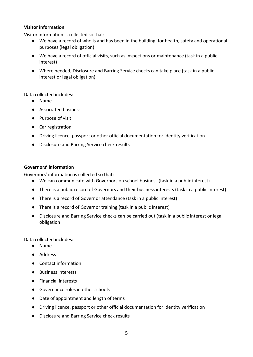#### <span id="page-4-0"></span>**Visitor information**

Visitor information is collected so that:

- We have a record of who is and has been in the building, for health, safety and operational purposes (legal obligation)
- We have a record of official visits, such as inspections or maintenance (task in a public interest)
- Where needed, Disclosure and Barring Service checks can take place (task in a public interest or legal obligation)

Data collected includes:

- Name
- Associated business
- Purpose of visit
- Car registration
- Driving licence, passport or other official documentation for identity verification
- Disclosure and Barring Service check results

#### <span id="page-4-1"></span>**Governors' information**

Governors' information is collected so that:

- We can communicate with Governors on school business (task in a public interest)
- There is a public record of Governors and their business interests (task in a public interest)
- There is a record of Governor attendance (task in a public interest)
- There is a record of Governor training (task in a public interest)
- Disclosure and Barring Service checks can be carried out (task in a public interest or legal obligation

Data collected includes:

- Name
- Address
- Contact information
- Business interests
- Financial interests
- Governance roles in other schools
- Date of appointment and length of terms
- Driving licence, passport or other official documentation for identity verification
- Disclosure and Barring Service check results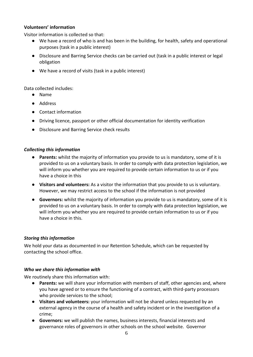#### <span id="page-5-0"></span>**Volunteers' information**

Visitor information is collected so that:

- We have a record of who is and has been in the building, for health, safety and operational purposes (task in a public interest)
- Disclosure and Barring Service checks can be carried out (task in a public interest or legal obligation
- We have a record of visits (task in a public interest)

Data collected includes:

- Name
- Address
- Contact information
- Driving licence, passport or other official documentation for identity verification
- Disclosure and Barring Service check results

#### <span id="page-5-1"></span>*Collecting this information*

- **Parents:** whilst the majority of information you provide to us is mandatory, some of it is provided to us on a voluntary basis. In order to comply with data protection legislation, we will inform you whether you are required to provide certain information to us or if you have a choice in this
- **Visitors and volunteers:** As a visitor the information that you provide to us is voluntary. However, we may restrict access to the school if the information is not provided
- **Governors:** whilst the majority of information you provide to us is mandatory, some of it is provided to us on a voluntary basis. In order to comply with data protection legislation, we will inform you whether you are required to provide certain information to us or if you have a choice in this.

#### <span id="page-5-2"></span>*Storing this information*

We hold your data as documented in our Retention Schedule, which can be requested by contacting the school office.

#### <span id="page-5-3"></span>*Who we share this information with*

We routinely share this information with:

- **Parents:** we will share your information with members of staff, other agencies and, where you have agreed or to ensure the functioning of a contract, with third-party processors who provide services to the school;
- **Visitors and volunteers:** your information will not be shared unless requested by an external agency in the course of a health and safety incident or in the investigation of a crime;
- **Governors:** we will publish the names, business interests, financial interests and governance roles of governors in other schools on the school website. Governor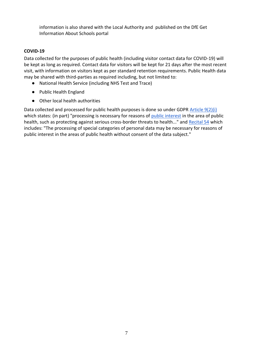information is also shared with the Local Authority and published on the DfE Get Information About Schools portal

#### <span id="page-6-0"></span>**COVID-19**

Data collected for the purposes of public health (including visitor contact data for COVID-19) will be kept as long as required. Contact data for visitors will be kept for 21 days after the most recent visit, with information on visitors kept as per standard retention requirements. Public Health data may be shared with third-parties as required including, but not limited to:

- National Health Service (including NHS Test and Trace)
- Public Health England
- Other local health authorities

Data collected and processed for public health purposes is done so under GDPR [Article 9\(2\)\(i\)](https://gdpr-info.eu/art-9-gdpr/) which states: (in part) "processing is necessary for reasons of [public interest](https://kb.dataprotection.education/component/seoglossary/1-data-protection-definitions/public-interest) in the area of public health, such as protecting against serious cross-border threats to health..." and [Recital 54](https://gdpr-info.eu/recitals/no-54/) which includes: "The processing of special categories of personal data may be necessary for reasons of public interest in the areas of public health without consent of the data subject."